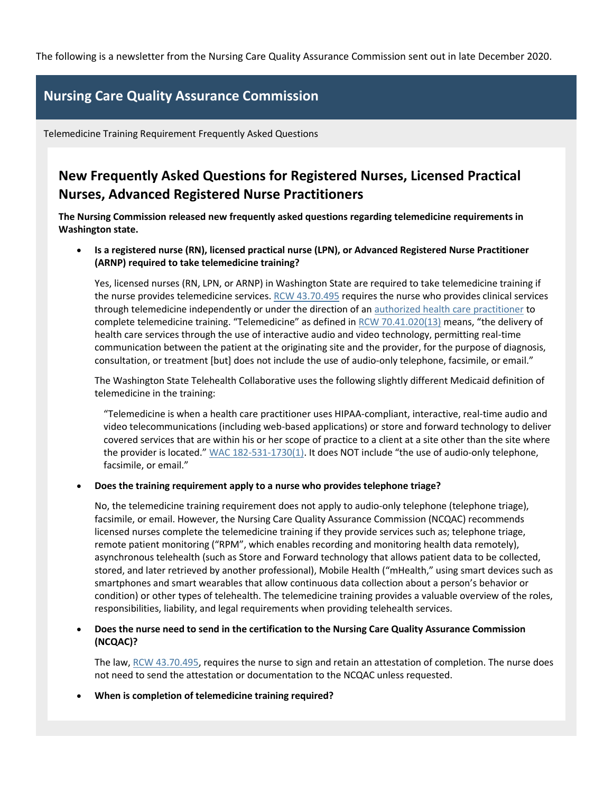The following is a newsletter from the Nursing Care Quality Assurance Commission sent out in late December 2020.

## **Nursing Care Quality Assurance Commission**

Telemedicine Training Requirement Frequently Asked Questions

# **New Frequently Asked Questions for Registered Nurses, Licensed Practical Nurses, Advanced Registered Nurse Practitioners**

**The Nursing Commission released new frequently asked questions regarding telemedicine requirements in Washington state.**

 **Is a registered nurse (RN), licensed practical nurse (LPN), or Advanced Registered Nurse Practitioner (ARNP) required to take telemedicine training?**

Yes, licensed nurses (RN, LPN, or ARNP) in Washington State are required to take telemedicine training if the nurse provides telemedicine services[. RCW 43.70.495](https://lnks.gd/l/eyJhbGciOiJIUzI1NiJ9.eyJidWxsZXRpbl9saW5rX2lkIjoxMDAsInVyaSI6ImJwMjpjbGljayIsImJ1bGxldGluX2lkIjoiMjAyMDEyMzAuMzI2NTg4MDEiLCJ1cmwiOiJodHRwczovL2FwcC5sZWcud2EuZ292L3Jjdy9kZWZhdWx0LmFzcHg_Y2l0ZT00My43MC40OTUifQ.M4PXxPZ2ufKWBwx2QbGjBXIE0ZB5_Fk_MD7VUxcWnfs/s/1063441810/br/92519267764-l) requires the nurse who provides clinical services through telemedicine independently or under the direction of an [authorized health care practitioner](https://lnks.gd/l/eyJhbGciOiJIUzI1NiJ9.eyJidWxsZXRpbl9saW5rX2lkIjoxMDEsInVyaSI6ImJwMjpjbGljayIsImJ1bGxldGluX2lkIjoiMjAyMDEyMzAuMzI2NTg4MDEiLCJ1cmwiOiJodHRwczovL3d3dy5kb2gud2EuZ292L0xpY2Vuc2VzUGVybWl0c2FuZENlcnRpZmljYXRlcy9OdXJzaW5nQ29tbWlzc2lvbi9QcmFjdGljZUluZm9ybWF0aW9uL0dsb3NzYXJ5b2ZUZXJtcyJ9.nJC2BleVltYOOj-G9zgIsMFdeWsrQfbhYIbd0TyROO8/s/1063441810/br/92519267764-l) to complete telemedicine training. "Telemedicine" as defined in [RCW 70.41.020\(13\)](https://lnks.gd/l/eyJhbGciOiJIUzI1NiJ9.eyJidWxsZXRpbl9saW5rX2lkIjoxMDIsInVyaSI6ImJwMjpjbGljayIsImJ1bGxldGluX2lkIjoiMjAyMDEyMzAuMzI2NTg4MDEiLCJ1cmwiOiJodHRwczovL2FwcC5sZWcud2EuZ292L1JDVy9kZWZhdWx0LmFzcHg_Y2l0ZT03MC40MS4wMjAifQ.WF-VYysZ9CgGgfLTnsEpuTWy-5RGk-piMhYCkCfGXgk/s/1063441810/br/92519267764-l) means, "the delivery of health care services through the use of interactive audio and video technology, permitting real-time communication between the patient at the originating site and the provider, for the purpose of diagnosis, consultation, or treatment [but] does not include the use of audio-only telephone, facsimile, or email."

The Washington State Telehealth Collaborative uses the following slightly different Medicaid definition of telemedicine in the training:

"Telemedicine is when a health care practitioner uses HIPAA-compliant, interactive, real-time audio and video telecommunications (including web-based applications) or store and forward technology to deliver covered services that are within his or her scope of practice to a client at a site other than the site where the provider is located." [WAC 182-531-1730\(1\)](https://lnks.gd/l/eyJhbGciOiJIUzI1NiJ9.eyJidWxsZXRpbl9saW5rX2lkIjoxMDMsInVyaSI6ImJwMjpjbGljayIsImJ1bGxldGluX2lkIjoiMjAyMDEyMzAuMzI2NTg4MDEiLCJ1cmwiOiJodHRwczovL2FwcHMubGVnLndhLmdvdi9XQUMvZGVmYXVsdC5hc3B4P2NpdGU9MTgyLTUzMS0xNzMwIn0.A8sbHiHg8Wi_D0o1R4_4ew9bl2zjlAMFbo7TgQhEA08/s/1063441810/br/92519267764-l). It does NOT include "the use of audio-only telephone, facsimile, or email."

#### **Does the training requirement apply to a nurse who provides telephone triage?**

No, the telemedicine training requirement does not apply to audio-only telephone (telephone triage), facsimile, or email. However, the Nursing Care Quality Assurance Commission (NCQAC) recommends licensed nurses complete the telemedicine training if they provide services such as; telephone triage, remote patient monitoring ("RPM", which enables recording and monitoring health data remotely), asynchronous telehealth (such as Store and Forward technology that allows patient data to be collected, stored, and later retrieved by another professional), Mobile Health ("mHealth," using smart devices such as smartphones and smart wearables that allow continuous data collection about a person's behavior or condition) or other types of telehealth. The telemedicine training provides a valuable overview of the roles, responsibilities, liability, and legal requirements when providing telehealth services.

### **Does the nurse need to send in the certification to the Nursing Care Quality Assurance Commission (NCQAC)?**

The law[, RCW 43.70.495,](https://lnks.gd/l/eyJhbGciOiJIUzI1NiJ9.eyJidWxsZXRpbl9saW5rX2lkIjoxMDQsInVyaSI6ImJwMjpjbGljayIsImJ1bGxldGluX2lkIjoiMjAyMDEyMzAuMzI2NTg4MDEiLCJ1cmwiOiJodHRwczovL2FwcC5sZWcud2EuZ292L3Jjdy9kZWZhdWx0LmFzcHg_Y2l0ZT00My43MC40OTUifQ.Qqn1YqCWq-WAz9jEoHv_sAiYp-L8_v1UcZjKhTdQhMI/s/1063441810/br/92519267764-l) requires the nurse to sign and retain an attestation of completion. The nurse does not need to send the attestation or documentation to the NCQAC unless requested.

**When is completion of telemedicine training required?**